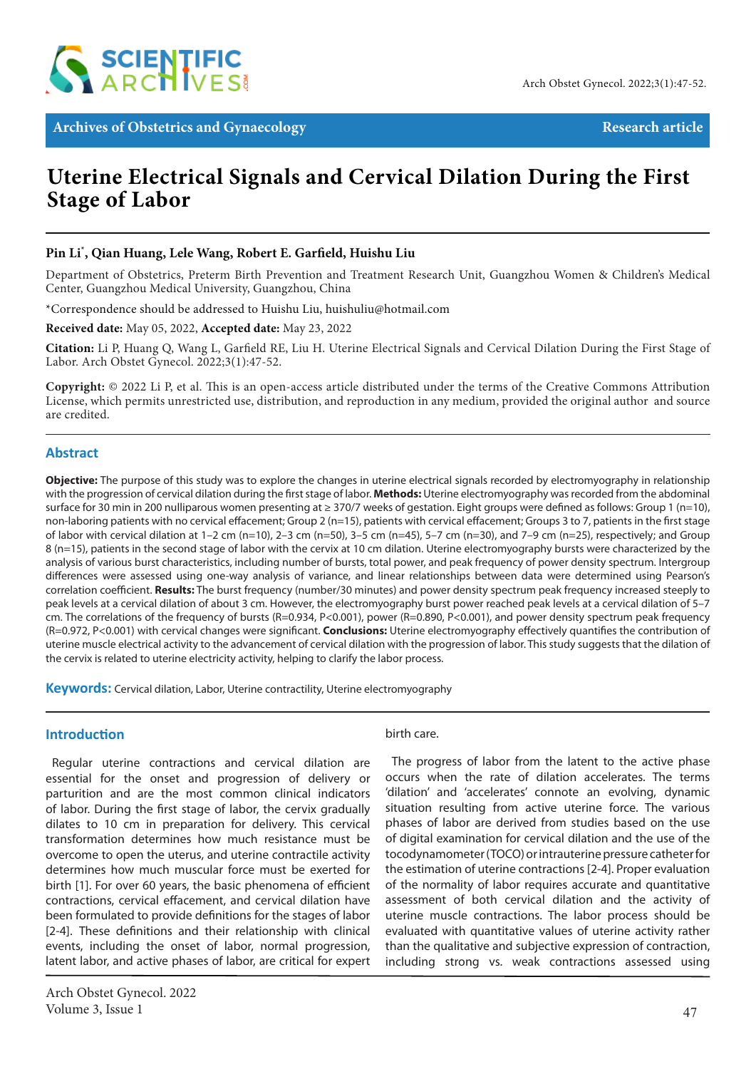

Archives of Obstetrics and Gynaecology **Research article** Research article

# **Uterine Electrical Signals and Cervical Dilation During the First Stage of Labor**

# **Pin Li\* , Qian Huang, Lele Wang, Robert E. Garfield, Huishu Liu**

Department of Obstetrics, Preterm Birth Prevention and Treatment Research Unit, Guangzhou Women & Children's Medical Center, Guangzhou Medical University, Guangzhou, China

\*Correspondence should be addressed to Huishu Liu, huishuliu@hotmail.com

**Received date:** May 05, 2022, **Accepted date:** May 23, 2022

**Citation:** Li P, Huang Q, Wang L, Garfield RE, Liu H. Uterine Electrical Signals and Cervical Dilation During the First Stage of Labor. Arch Obstet Gynecol. 2022;3(1):47-52.

**Copyright:** © 2022 Li P, et al. This is an open-access article distributed under the terms of the Creative Commons Attribution License, which permits unrestricted use, distribution, and reproduction in any medium, provided the original author and source are credited.

#### **Abstract**

**Objective:** The purpose of this study was to explore the changes in uterine electrical signals recorded by electromyography in relationship with the progression of cervical dilation during the first stage of labor. **Methods:** Uterine electromyography was recorded from the abdominal surface for 30 min in 200 nulliparous women presenting at ≥ 370/7 weeks of gestation. Eight groups were defined as follows: Group 1 (n=10), non-laboring patients with no cervical effacement; Group 2 (n=15), patients with cervical effacement; Groups 3 to 7, patients in the first stage of labor with cervical dilation at 1–2 cm (n=10), 2–3 cm (n=50), 3–5 cm (n=45), 5–7 cm (n=30), and 7–9 cm (n=25), respectively; and Group 8 (n=15), patients in the second stage of labor with the cervix at 10 cm dilation. Uterine electromyography bursts were characterized by the analysis of various burst characteristics, including number of bursts, total power, and peak frequency of power density spectrum. Intergroup differences were assessed using one-way analysis of variance, and linear relationships between data were determined using Pearson's correlation coefficient. **Results:** The burst frequency (number/30 minutes) and power density spectrum peak frequency increased steeply to peak levels at a cervical dilation of about 3 cm. However, the electromyography burst power reached peak levels at a cervical dilation of 5–7 cm. The correlations of the frequency of bursts (R=0.934, P<0.001), power (R=0.890, P<0.001), and power density spectrum peak frequency (R=0.972, P<0.001) with cervical changes were significant. **Conclusions:** Uterine electromyography effectively quantifies the contribution of uterine muscle electrical activity to the advancement of cervical dilation with the progression of labor. This study suggests that the dilation of the cervix is related to uterine electricity activity, helping to clarify the labor process.

**Keywords:** Cervical dilation, Labor, Uterine contractility, Uterine electromyography

#### **Introduction**

Regular uterine contractions and cervical dilation are essential for the onset and progression of delivery or parturition and are the most common clinical indicators of labor. During the first stage of labor, the cervix gradually dilates to 10 cm in preparation for delivery. This cervical transformation determines how much resistance must be overcome to open the uterus, and uterine contractile activity determines how much muscular force must be exerted for birth [1]. For over 60 years, the basic phenomena of efficient contractions, cervical effacement, and cervical dilation have been formulated to provide definitions for the stages of labor [2-4]. These definitions and their relationship with clinical events, including the onset of labor, normal progression, latent labor, and active phases of labor, are critical for expert

#### birth care.

The progress of labor from the latent to the active phase occurs when the rate of dilation accelerates. The terms 'dilation' and 'accelerates' connote an evolving, dynamic situation resulting from active uterine force. The various phases of labor are derived from studies based on the use of digital examination for cervical dilation and the use of the tocodynamometer (TOCO) or intrauterine pressure catheter for the estimation of uterine contractions [2-4]. Proper evaluation of the normality of labor requires accurate and quantitative assessment of both cervical dilation and the activity of uterine muscle contractions. The labor process should be evaluated with quantitative values of uterine activity rather than the qualitative and subjective expression of contraction, including strong vs. weak contractions assessed using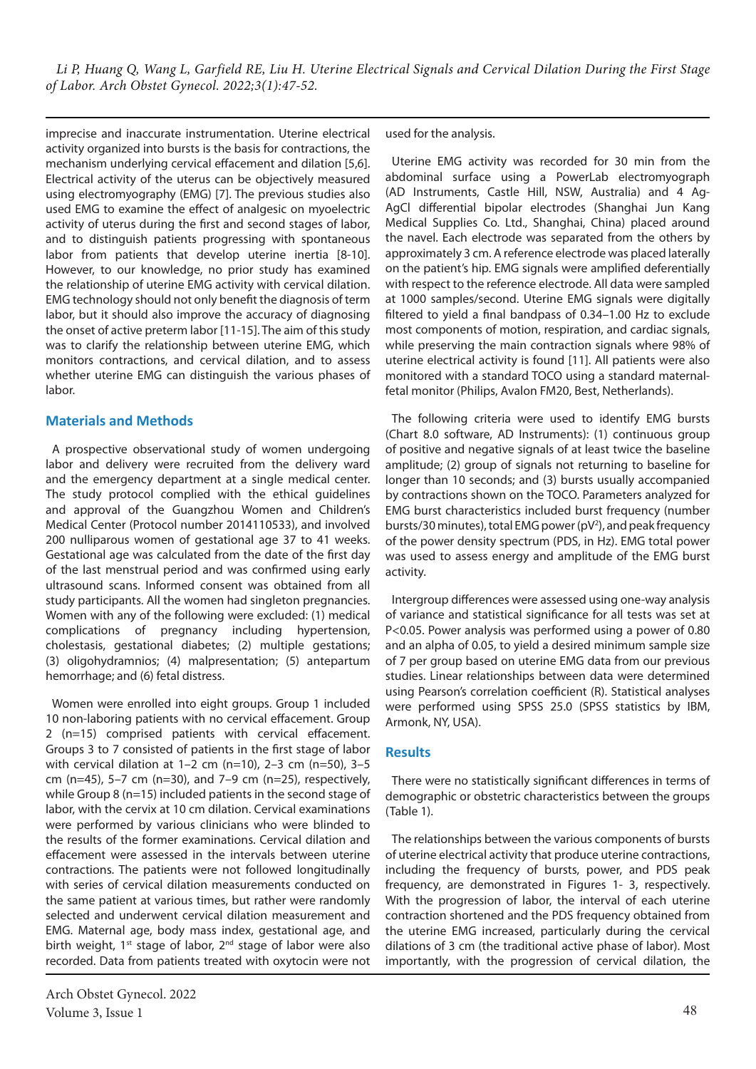imprecise and inaccurate instrumentation. Uterine electrical activity organized into bursts is the basis for contractions, the mechanism underlying cervical effacement and dilation [5,6]. Electrical activity of the uterus can be objectively measured using electromyography (EMG) [7]. The previous studies also used EMG to examine the effect of analgesic on myoelectric activity of uterus during the first and second stages of labor, and to distinguish patients progressing with spontaneous labor from patients that develop uterine inertia [8-10]. However, to our knowledge, no prior study has examined the relationship of uterine EMG activity with cervical dilation. EMG technology should not only benefit the diagnosis of term labor, but it should also improve the accuracy of diagnosing the onset of active preterm labor [11-15]. The aim of this study was to clarify the relationship between uterine EMG, which monitors contractions, and cervical dilation, and to assess whether uterine EMG can distinguish the various phases of labor.

## **Materials and Methods**

A prospective observational study of women undergoing labor and delivery were recruited from the delivery ward and the emergency department at a single medical center. The study protocol complied with the ethical guidelines and approval of the Guangzhou Women and Children's Medical Center (Protocol number 2014110533), and involved 200 nulliparous women of gestational age 37 to 41 weeks. Gestational age was calculated from the date of the first day of the last menstrual period and was confirmed using early ultrasound scans. Informed consent was obtained from all study participants. All the women had singleton pregnancies. Women with any of the following were excluded: (1) medical complications of pregnancy including hypertension, cholestasis, gestational diabetes; (2) multiple gestations; (3) oligohydramnios; (4) malpresentation; (5) antepartum hemorrhage; and (6) fetal distress.

Women were enrolled into eight groups. Group 1 included 10 non-laboring patients with no cervical effacement. Group 2 (n=15) comprised patients with cervical effacement. Groups 3 to 7 consisted of patients in the first stage of labor with cervical dilation at  $1-2$  cm (n=10),  $2-3$  cm (n=50),  $3-5$ cm (n=45), 5–7 cm (n=30), and 7–9 cm (n=25), respectively, while Group 8 (n=15) included patients in the second stage of labor, with the cervix at 10 cm dilation. Cervical examinations were performed by various clinicians who were blinded to the results of the former examinations. Cervical dilation and effacement were assessed in the intervals between uterine contractions. The patients were not followed longitudinally with series of cervical dilation measurements conducted on the same patient at various times, but rather were randomly selected and underwent cervical dilation measurement and EMG. Maternal age, body mass index, gestational age, and birth weight, 1<sup>st</sup> stage of labor, 2<sup>nd</sup> stage of labor were also recorded. Data from patients treated with oxytocin were not used for the analysis.

Uterine EMG activity was recorded for 30 min from the abdominal surface using a PowerLab electromyograph (AD Instruments, Castle Hill, NSW, Australia) and 4 Ag-AgCl differential bipolar electrodes (Shanghai Jun Kang Medical Supplies Co. Ltd., Shanghai, China) placed around the navel. Each electrode was separated from the others by approximately 3 cm. A reference electrode was placed laterally on the patient's hip. EMG signals were amplified deferentially with respect to the reference electrode. All data were sampled at 1000 samples/second. Uterine EMG signals were digitally filtered to yield a final bandpass of 0.34–1.00 Hz to exclude most components of motion, respiration, and cardiac signals, while preserving the main contraction signals where 98% of uterine electrical activity is found [11]. All patients were also monitored with a standard TOCO using a standard maternalfetal monitor (Philips, Avalon FM20, Best, Netherlands).

The following criteria were used to identify EMG bursts (Chart 8.0 software, AD Instruments): (1) continuous group of positive and negative signals of at least twice the baseline amplitude; (2) group of signals not returning to baseline for longer than 10 seconds; and (3) bursts usually accompanied by contractions shown on the TOCO. Parameters analyzed for EMG burst characteristics included burst frequency (number bursts/30 minutes), total EMG power (pV<sup>2</sup>), and peak frequency of the power density spectrum (PDS, in Hz). EMG total power was used to assess energy and amplitude of the EMG burst activity.

Intergroup differences were assessed using one-way analysis of variance and statistical significance for all tests was set at P<0.05. Power analysis was performed using a power of 0.80 and an alpha of 0.05, to yield a desired minimum sample size of 7 per group based on uterine EMG data from our previous studies. Linear relationships between data were determined using Pearson's correlation coefficient (R). Statistical analyses were performed using SPSS 25.0 (SPSS statistics by IBM, Armonk, NY, USA).

#### **Results**

There were no statistically significant differences in terms of demographic or obstetric characteristics between the groups (Table 1).

The relationships between the various components of bursts of uterine electrical activity that produce uterine contractions, including the frequency of bursts, power, and PDS peak frequency, are demonstrated in Figures 1- 3, respectively. With the progression of labor, the interval of each uterine contraction shortened and the PDS frequency obtained from the uterine EMG increased, particularly during the cervical dilations of 3 cm (the traditional active phase of labor). Most importantly, with the progression of cervical dilation, the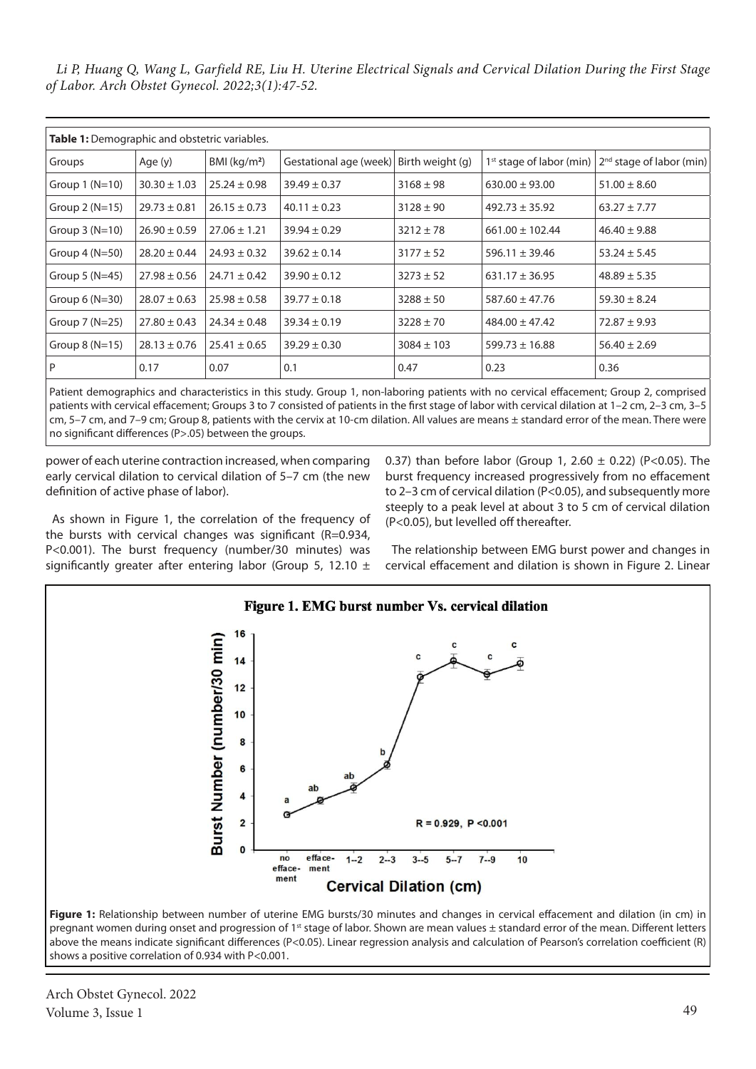*Li P, Huang Q, Wang L, Garfield RE, Liu H. Uterine Electrical Signals and Cervical Dilation During the First Stage of Labor. Arch Obstet Gynecol. 2022;3(1):47-52.*

| Table 1: Demographic and obstetric variables. |                  |                  |                                         |                |                     |                                                                     |
|-----------------------------------------------|------------------|------------------|-----------------------------------------|----------------|---------------------|---------------------------------------------------------------------|
| Groups                                        | Age (y)          | BMI $(kg/m2)$    | Gestational age (week) Birth weight (g) |                |                     | 1 <sup>st</sup> stage of labor (min) $ 2^{nd}$ stage of labor (min) |
| Group $1(N=10)$                               | $30.30 \pm 1.03$ | $25.24 \pm 0.98$ | $39.49 \pm 0.37$                        | $3168 \pm 98$  | $630.00 \pm 93.00$  | $51.00 \pm 8.60$                                                    |
| Group $2(N=15)$                               | $29.73 \pm 0.81$ | $26.15 \pm 0.73$ | $40.11 \pm 0.23$                        | $3128 \pm 90$  | $492.73 \pm 35.92$  | $63.27 \pm 7.77$                                                    |
| Group $3(N=10)$                               | $26.90 \pm 0.59$ | $27.06 \pm 1.21$ | $39.94 \pm 0.29$                        | $3212 \pm 78$  | $661.00 \pm 102.44$ | $46.40 \pm 9.88$                                                    |
| Group $4(N=50)$                               | $28.20 \pm 0.44$ | $24.93 \pm 0.32$ | $39.62 \pm 0.14$                        | $3177 \pm 52$  | $596.11 \pm 39.46$  | $53.24 \pm 5.45$                                                    |
| Group $5(N=45)$                               | $27.98 \pm 0.56$ | $24.71 \pm 0.42$ | $39.90 \pm 0.12$                        | $3273 \pm 52$  | $631.17 \pm 36.95$  | $48.89 \pm 5.35$                                                    |
| Group $6(N=30)$                               | $28.07 \pm 0.63$ | $25.98 \pm 0.58$ | $39.77 \pm 0.18$                        | $3288 \pm 50$  | $587.60 \pm 47.76$  | $59.30 \pm 8.24$                                                    |
| Group $7(N=25)$                               | $27.80 \pm 0.43$ | $24.34 \pm 0.48$ | $39.34 \pm 0.19$                        | $3228 \pm 70$  | $484.00 \pm 47.42$  | $72.87 \pm 9.93$                                                    |
| Group $8(N=15)$                               | $28.13 \pm 0.76$ | $25.41 \pm 0.65$ | $39.29 \pm 0.30$                        | $3084 \pm 103$ | $599.73 \pm 16.88$  | $56.40 \pm 2.69$                                                    |
| P                                             | 0.17             | 0.07             | 0.1                                     | 0.47           | 0.23                | 0.36                                                                |

Patient demographics and characteristics in this study. Group 1, non-laboring patients with no cervical effacement; Group 2, comprised patients with cervical effacement; Groups 3 to 7 consisted of patients in the first stage of labor with cervical dilation at 1–2 cm, 2–3 cm, 3–5 cm, 5–7 cm, and 7–9 cm; Group 8, patients with the cervix at 10-cm dilation. All values are means ± standard error of the mean. There were no significant differences (P>.05) between the groups.

power of each uterine contraction increased, when comparing early cervical dilation to cervical dilation of 5–7 cm (the new definition of active phase of labor).

As shown in Figure 1, the correlation of the frequency of the bursts with cervical changes was significant (R=0.934, P<0.001). The burst frequency (number/30 minutes) was significantly greater after entering labor (Group 5, 12.10  $\pm$  0.37) than before labor (Group 1, 2.60  $\pm$  0.22) (P<0.05). The burst frequency increased progressively from no effacement to 2–3 cm of cervical dilation (P<0.05), and subsequently more steeply to a peak level at about 3 to 5 cm of cervical dilation (P<0.05), but levelled off thereafter.

The relationship between EMG burst power and changes in cervical effacement and dilation is shown in Figure 2. Linear





Arch Obstet Gynecol. 2022 Volume 3, Issue 1 49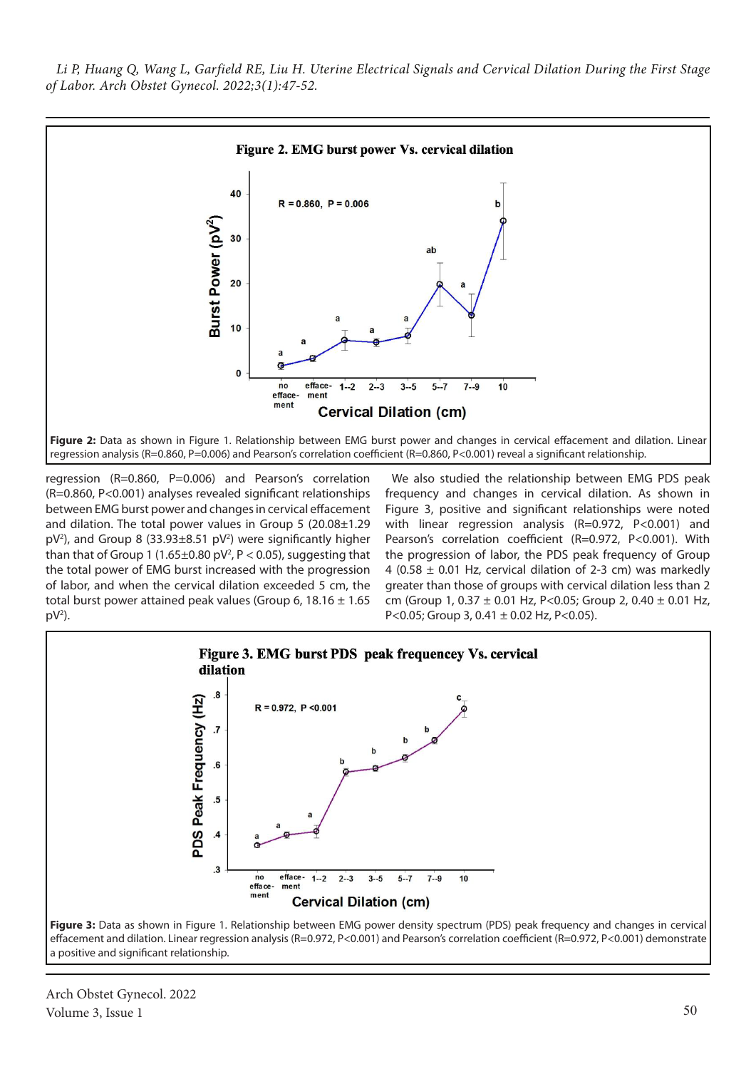

regression (R=0.860, P=0.006) and Pearson's correlation (R=0.860, P<0.001) analyses revealed significant relationships between EMG burst power and changes in cervical effacement and dilation. The total power values in Group 5 (20.08±1.29  $pV<sup>2</sup>$ ), and Group 8 (33.93 $\pm$ 8.51  $pV<sup>2</sup>$ ) were significantly higher than that of Group 1 (1.65 $\pm$ 0.80 pV<sup>2</sup>, P < 0.05), suggesting that the total power of EMG burst increased with the progression of labor, and when the cervical dilation exceeded 5 cm, the total burst power attained peak values (Group 6, 18.16  $\pm$  1.65  $pV^2$ ).

We also studied the relationship between EMG PDS peak frequency and changes in cervical dilation. As shown in Figure 3, positive and significant relationships were noted with linear regression analysis (R=0.972, P<0.001) and Pearson's correlation coefficient (R=0.972, P<0.001). With the progression of labor, the PDS peak frequency of Group 4 (0.58  $\pm$  0.01 Hz, cervical dilation of 2-3 cm) was markedly greater than those of groups with cervical dilation less than 2 cm (Group 1,  $0.37 \pm 0.01$  Hz, P<0.05; Group 2,  $0.40 \pm 0.01$  Hz, P<0.05; Group 3, 0.41  $\pm$  0.02 Hz, P<0.05).



a positive and significant relationship.

Arch Obstet Gynecol. 2022 Volume 3, Issue 1  $50$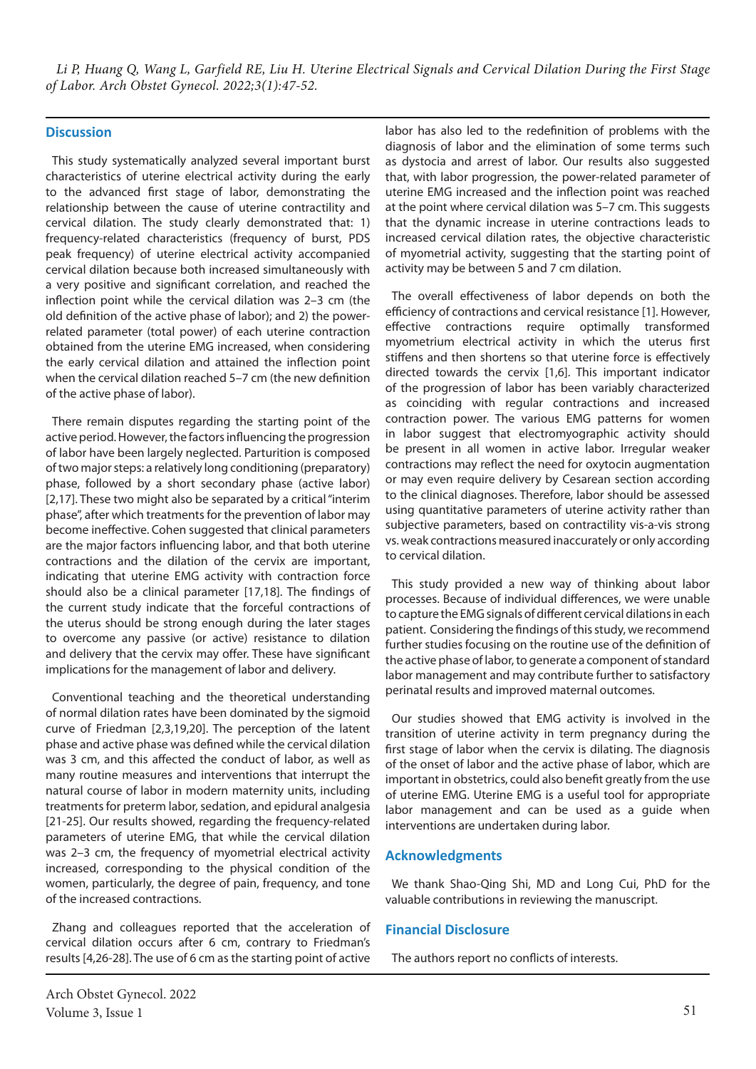### **Discussion**

This study systematically analyzed several important burst characteristics of uterine electrical activity during the early to the advanced first stage of labor, demonstrating the relationship between the cause of uterine contractility and cervical dilation. The study clearly demonstrated that: 1) frequency-related characteristics (frequency of burst, PDS peak frequency) of uterine electrical activity accompanied cervical dilation because both increased simultaneously with a very positive and significant correlation, and reached the inflection point while the cervical dilation was 2–3 cm (the old definition of the active phase of labor); and 2) the powerrelated parameter (total power) of each uterine contraction obtained from the uterine EMG increased, when considering the early cervical dilation and attained the inflection point when the cervical dilation reached 5–7 cm (the new definition of the active phase of labor).

There remain disputes regarding the starting point of the active period. However, the factors influencing the progression of labor have been largely neglected. Parturition is composed of two major steps: a relatively long conditioning (preparatory) phase, followed by a short secondary phase (active labor) [2,17]. These two might also be separated by a critical "interim phase", after which treatments for the prevention of labor may become ineffective. Cohen suggested that clinical parameters are the major factors influencing labor, and that both uterine contractions and the dilation of the cervix are important, indicating that uterine EMG activity with contraction force should also be a clinical parameter [17,18]. The findings of the current study indicate that the forceful contractions of the uterus should be strong enough during the later stages to overcome any passive (or active) resistance to dilation and delivery that the cervix may offer. These have significant implications for the management of labor and delivery.

Conventional teaching and the theoretical understanding of normal dilation rates have been dominated by the sigmoid curve of Friedman [2,3,19,20]. The perception of the latent phase and active phase was defined while the cervical dilation was 3 cm, and this affected the conduct of labor, as well as many routine measures and interventions that interrupt the natural course of labor in modern maternity units, including treatments for preterm labor, sedation, and epidural analgesia [21-25]. Our results showed, regarding the frequency-related parameters of uterine EMG, that while the cervical dilation was 2–3 cm, the frequency of myometrial electrical activity increased, corresponding to the physical condition of the women, particularly, the degree of pain, frequency, and tone of the increased contractions.

Zhang and colleagues reported that the acceleration of cervical dilation occurs after 6 cm, contrary to Friedman's results [4,26-28]. The use of 6 cm as the starting point of active

labor has also led to the redefinition of problems with the diagnosis of labor and the elimination of some terms such as dystocia and arrest of labor. Our results also suggested that, with labor progression, the power-related parameter of uterine EMG increased and the inflection point was reached at the point where cervical dilation was 5–7 cm. This suggests that the dynamic increase in uterine contractions leads to increased cervical dilation rates, the objective characteristic of myometrial activity, suggesting that the starting point of activity may be between 5 and 7 cm dilation.

The overall effectiveness of labor depends on both the efficiency of contractions and cervical resistance [1]. However, effective contractions require optimally transformed myometrium electrical activity in which the uterus first stiffens and then shortens so that uterine force is effectively directed towards the cervix [1,6]. This important indicator of the progression of labor has been variably characterized as coinciding with regular contractions and increased contraction power. The various EMG patterns for women in labor suggest that electromyographic activity should be present in all women in active labor. Irregular weaker contractions may reflect the need for oxytocin augmentation or may even require delivery by Cesarean section according to the clinical diagnoses. Therefore, labor should be assessed using quantitative parameters of uterine activity rather than subjective parameters, based on contractility vis-a-vis strong vs. weak contractions measured inaccurately or only according to cervical dilation.

This study provided a new way of thinking about labor processes. Because of individual differences, we were unable to capture the EMG signals of different cervical dilations in each patient. Considering the findings of this study, we recommend further studies focusing on the routine use of the definition of the active phase of labor, to generate a component of standard labor management and may contribute further to satisfactory perinatal results and improved maternal outcomes.

Our studies showed that EMG activity is involved in the transition of uterine activity in term pregnancy during the first stage of labor when the cervix is dilating. The diagnosis of the onset of labor and the active phase of labor, which are important in obstetrics, could also benefit greatly from the use of uterine EMG. Uterine EMG is a useful tool for appropriate labor management and can be used as a guide when interventions are undertaken during labor.

#### **Acknowledgments**

We thank Shao-Qing Shi, MD and Long Cui, PhD for the valuable contributions in reviewing the manuscript.

#### **Financial Disclosure**

The authors report no conflicts of interests.

Arch Obstet Gynecol. 2022 Volume 3, Issue 1  $51$